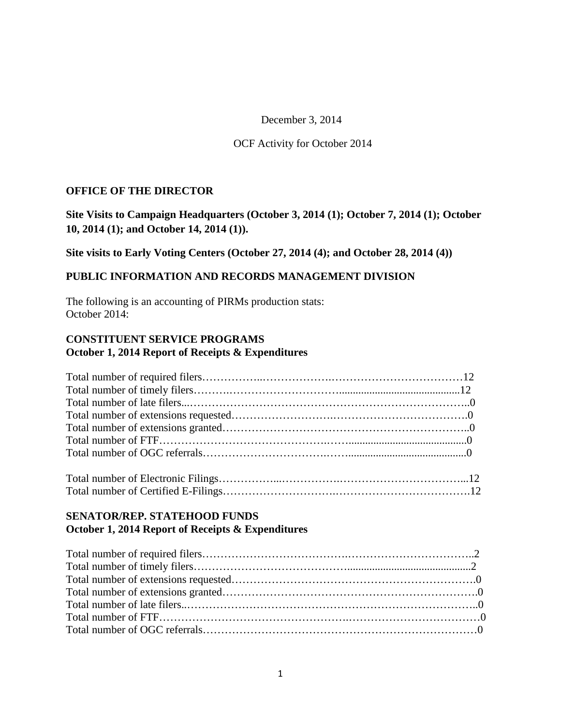December 3, 2014

#### OCF Activity for October 2014

#### **OFFICE OF THE DIRECTOR**

**Site Visits to Campaign Headquarters (October 3, 2014 (1); October 7, 2014 (1); October 10, 2014 (1); and October 14, 2014 (1)).**

**Site visits to Early Voting Centers (October 27, 2014 (4); and October 28, 2014 (4))**

#### **PUBLIC INFORMATION AND RECORDS MANAGEMENT DIVISION**

The following is an accounting of PIRMs production stats: October 2014:

### **CONSTITUENT SERVICE PROGRAMS October 1, 2014 Report of Receipts & Expenditures**

## **SENATOR/REP. STATEHOOD FUNDS October 1, 2014 Report of Receipts & Expenditures**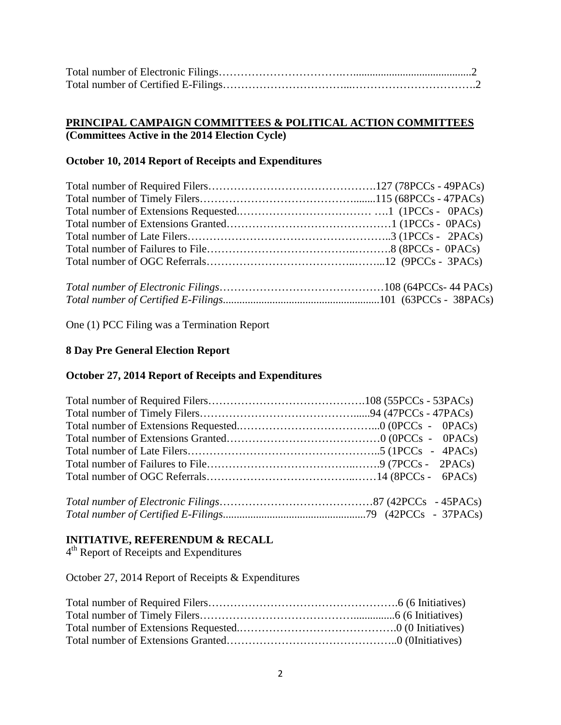## **PRINCIPAL CAMPAIGN COMMITTEES & POLITICAL ACTION COMMITTEES (Committees Active in the 2014 Election Cycle)**

## **October 10, 2014 Report of Receipts and Expenditures**

*Total number of Certified E-Filings*.........................................................101 (63PCCs - 38PACs)

One (1) PCC Filing was a Termination Report

## **8 Day Pre General Election Report**

## **October 27, 2014 Report of Receipts and Expenditures**

## **INITIATIVE, REFERENDUM & RECALL**

4th Report of Receipts and Expenditures

October 27, 2014 Report of Receipts & Expenditures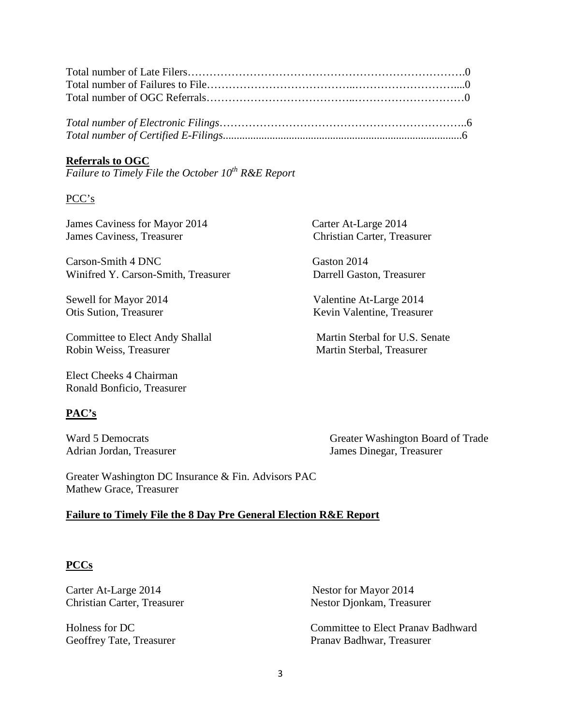#### **Referrals to OGC**

*Failure to Timely File the October 10th R&E Report*

#### PCC's

James Caviness for Mayor 2014 Carter At-Large 2014 James Caviness, Treasurer Christian Carter, Treasurer

Carson-Smith 4 DNC Gaston 2014 Winifred Y. Carson-Smith, Treasurer Darrell Gaston, Treasurer

Committee to Elect Andy Shallal Martin Sterbal for U.S. Senate<br>
Robin Weiss. Treasurer Martin Sterbal. Treasurer

Elect Cheeks 4 Chairman Ronald Bonficio, Treasurer

#### **PAC's**

Sewell for Mayor 2014 Valentine At-Large 2014 Otis Sution, Treasurer Kevin Valentine, Treasurer

Martin Sterbal, Treasurer

Ward 5 Democrats Greater Washington Board of Trade Adrian Jordan, Treasurer James Dinegar, Treasurer

Greater Washington DC Insurance & Fin. Advisors PAC Mathew Grace, Treasurer

#### **Failure to Timely File the 8 Day Pre General Election R&E Report**

#### **PCCs**

Carter At-Large 2014 Nestor for Mayor 2014

Christian Carter, Treasurer Nestor Djonkam, Treasurer

Holness for DC Committee to Elect Pranav Badhward Geoffrey Tate, Treasurer Pranav Badhwar, Treasurer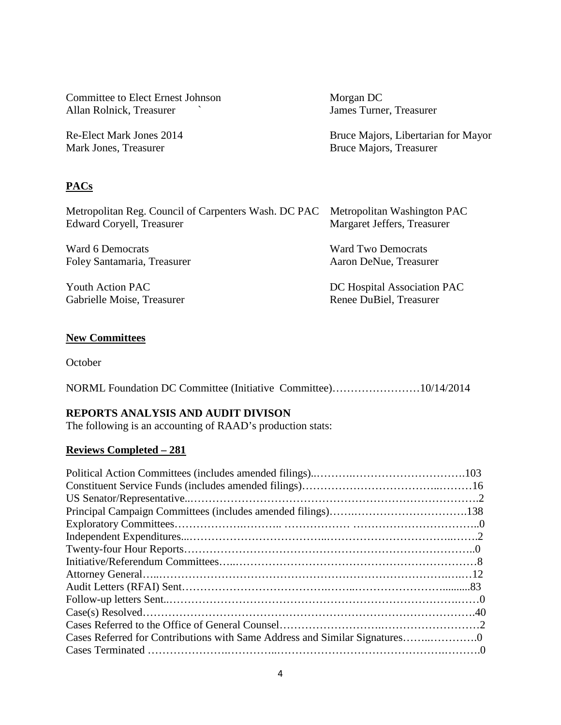| Committee to Elect Ernest Johnson                                                 | Morgan DC                                                  |
|-----------------------------------------------------------------------------------|------------------------------------------------------------|
| Allan Rolnick, Treasurer                                                          | James Turner, Treasurer                                    |
| Re-Elect Mark Jones 2014                                                          | Bruce Majors, Libertarian for Mayor                        |
| Mark Jones, Treasurer                                                             | Bruce Majors, Treasurer                                    |
|                                                                                   |                                                            |
| <b>PACs</b>                                                                       |                                                            |
| Metropolitan Reg. Council of Carpenters Wash. DC PAC<br>Edward Coryell, Treasurer | Metropolitan Washington PAC<br>Margaret Jeffers, Treasurer |
| Ward 6 Democrats                                                                  | <b>Ward Two Democrats</b>                                  |
| Foley Santamaria, Treasurer                                                       | Aaron DeNue, Treasurer                                     |
| Youth Action PAC                                                                  | DC Hospital Association PAC                                |
| Gabrielle Moise, Treasurer                                                        | Renee DuBiel, Treasurer                                    |
|                                                                                   |                                                            |

## **New Committees**

October

NORML Foundation DC Committee (Initiative Committee)……………………10/14/2014

## **REPORTS ANALYSIS AND AUDIT DIVISON**

The following is an accounting of RAAD's production stats:

## **Reviews Completed – 281**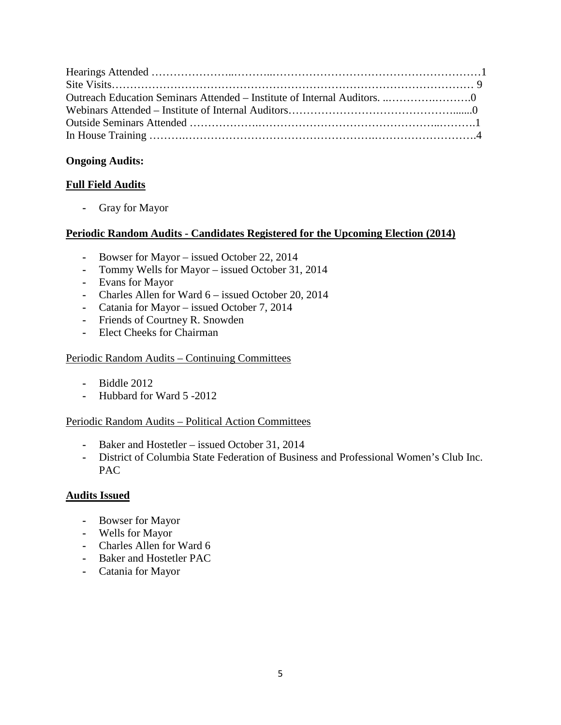## **Ongoing Audits:**

## **Full Field Audits**

**-** Gray for Mayor

## **Periodic Random Audits - Candidates Registered for the Upcoming Election (2014)**

- **-** Bowser for Mayor issued October 22, 2014
- **-** Tommy Wells for Mayor issued October 31, 2014
- **-** Evans for Mayor
- **-** Charles Allen for Ward 6 issued October 20, 2014
- **-** Catania for Mayor issued October 7, 2014
- **-** Friends of Courtney R. Snowden
- **-** Elect Cheeks for Chairman

## Periodic Random Audits – Continuing Committees

- **-** Biddle 2012
- **-** Hubbard for Ward 5 -2012

## Periodic Random Audits – Political Action Committees

- **-** Baker and Hostetler issued October 31, 2014
- **-** District of Columbia State Federation of Business and Professional Women's Club Inc. PAC

## **Audits Issued**

- **-** Bowser for Mayor
- **-** Wells for Mayor
- **-** Charles Allen for Ward 6
- **-** Baker and Hostetler PAC
- **-** Catania for Mayor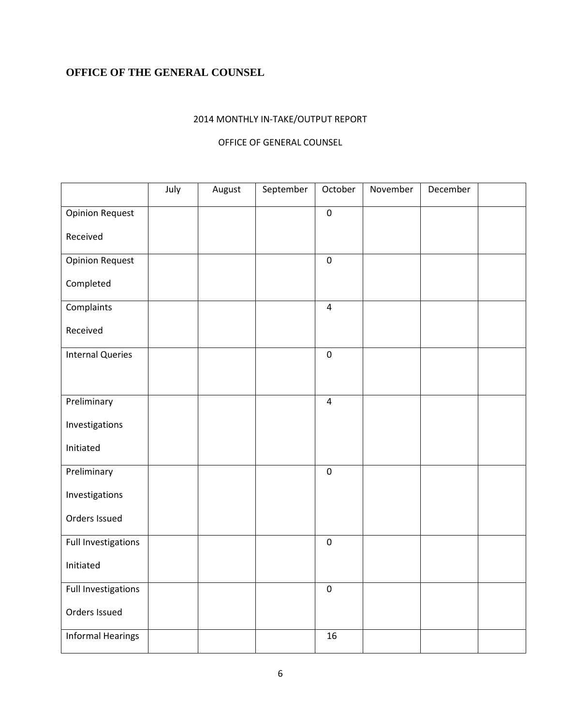# **OFFICE OF THE GENERAL COUNSEL**

## 2014 MONTHLY IN-TAKE/OUTPUT REPORT

#### OFFICE OF GENERAL COUNSEL

|                          | July | August | September | October        | November | December |  |
|--------------------------|------|--------|-----------|----------------|----------|----------|--|
| <b>Opinion Request</b>   |      |        |           | $\pmb{0}$      |          |          |  |
| Received                 |      |        |           |                |          |          |  |
| <b>Opinion Request</b>   |      |        |           | $\pmb{0}$      |          |          |  |
| Completed                |      |        |           |                |          |          |  |
| Complaints               |      |        |           | $\overline{4}$ |          |          |  |
| Received                 |      |        |           |                |          |          |  |
| <b>Internal Queries</b>  |      |        |           | $\pmb{0}$      |          |          |  |
|                          |      |        |           |                |          |          |  |
| Preliminary              |      |        |           | $\overline{4}$ |          |          |  |
| Investigations           |      |        |           |                |          |          |  |
| Initiated                |      |        |           |                |          |          |  |
| Preliminary              |      |        |           | $\pmb{0}$      |          |          |  |
| Investigations           |      |        |           |                |          |          |  |
| Orders Issued            |      |        |           |                |          |          |  |
| Full Investigations      |      |        |           | $\pmb{0}$      |          |          |  |
| Initiated                |      |        |           |                |          |          |  |
| Full Investigations      |      |        |           | $\pmb{0}$      |          |          |  |
| Orders Issued            |      |        |           |                |          |          |  |
| <b>Informal Hearings</b> |      |        |           | 16             |          |          |  |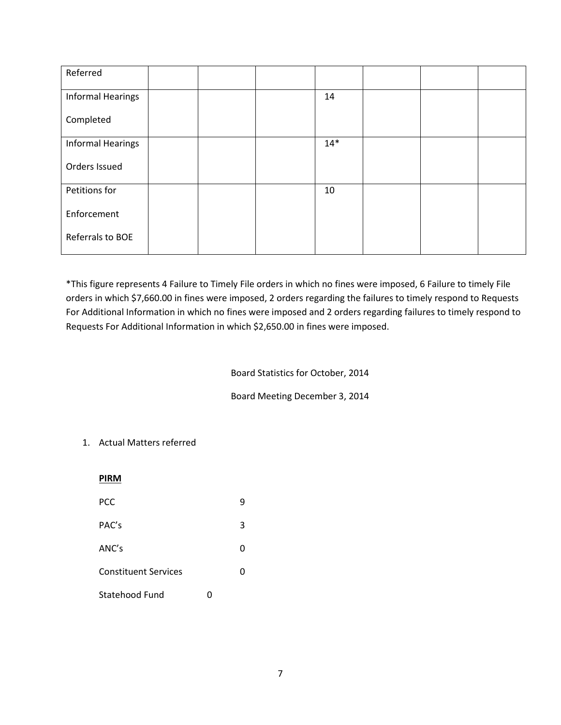| Referred                 |  |       |  |  |
|--------------------------|--|-------|--|--|
| <b>Informal Hearings</b> |  | 14    |  |  |
| Completed                |  |       |  |  |
| <b>Informal Hearings</b> |  | $14*$ |  |  |
| Orders Issued            |  |       |  |  |
| Petitions for            |  | 10    |  |  |
| Enforcement              |  |       |  |  |
| Referrals to BOE         |  |       |  |  |

\*This figure represents 4 Failure to Timely File orders in which no fines were imposed, 6 Failure to timely File orders in which \$7,660.00 in fines were imposed, 2 orders regarding the failures to timely respond to Requests For Additional Information in which no fines were imposed and 2 orders regarding failures to timely respond to Requests For Additional Information in which \$2,650.00 in fines were imposed.

Board Statistics for October, 2014

Board Meeting December 3, 2014

#### 1. Actual Matters referred

| <b>PIRM</b>                 |   |  |
|-----------------------------|---|--|
| <b>PCC</b>                  | 9 |  |
| PAC's                       | 3 |  |
| ANC's                       | 0 |  |
| <b>Constituent Services</b> | 0 |  |
| Statehood Fund              |   |  |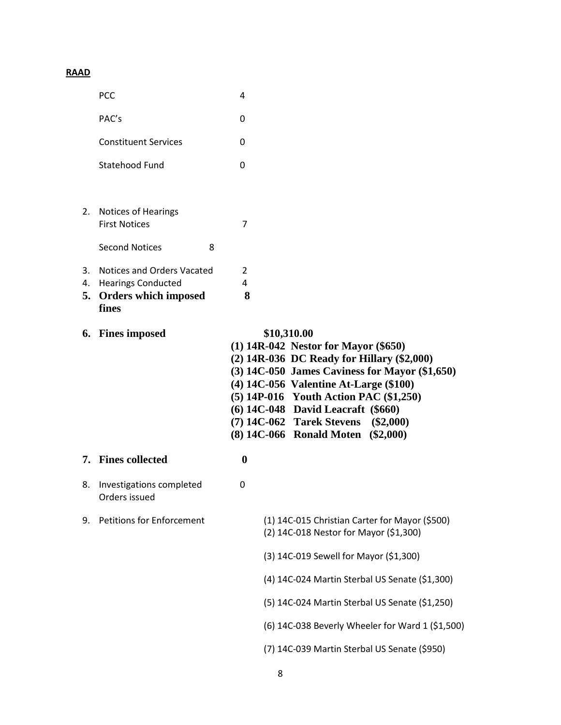# **RAAD**

|          | PCC                                                                                         | 4                                                                                                                                                                                                                                                              |  |
|----------|---------------------------------------------------------------------------------------------|----------------------------------------------------------------------------------------------------------------------------------------------------------------------------------------------------------------------------------------------------------------|--|
|          | PAC's                                                                                       | 0                                                                                                                                                                                                                                                              |  |
|          | <b>Constituent Services</b>                                                                 | 0                                                                                                                                                                                                                                                              |  |
|          | Statehood Fund                                                                              | 0                                                                                                                                                                                                                                                              |  |
|          |                                                                                             |                                                                                                                                                                                                                                                                |  |
|          | 2. Notices of Hearings<br><b>First Notices</b>                                              | 7                                                                                                                                                                                                                                                              |  |
|          | <b>Second Notices</b><br>8                                                                  |                                                                                                                                                                                                                                                                |  |
| 3.<br>4. | Notices and Orders Vacated<br><b>Hearings Conducted</b><br>5. Orders which imposed<br>fines | $\overline{2}$<br>4<br>8                                                                                                                                                                                                                                       |  |
|          | 6. Fines imposed                                                                            | \$10,310.00<br>$(1)$ 14R-042 Nestor for Mayor $(\$650)$<br>(2) 14R-036 DC Ready for Hillary (\$2,000)                                                                                                                                                          |  |
|          |                                                                                             | $(3)$ 14C-050 James Caviness for Mayor $(\$1,650)$<br>(4) 14C-056 Valentine At-Large (\$100)<br>(5) 14P-016 Youth Action PAC (\$1,250)<br>(6) 14C-048 David Leacraft (\$660)<br>(7) 14C-062 Tarek Stevens<br>$(\$2,000)$<br>(8) 14C-066 Ronald Moten (\$2,000) |  |
|          | 7. Fines collected                                                                          | $\boldsymbol{0}$                                                                                                                                                                                                                                               |  |
|          | 8. Investigations completed<br>Orders issued                                                | 0                                                                                                                                                                                                                                                              |  |
| 9.       | <b>Petitions for Enforcement</b>                                                            | (1) 14C-015 Christian Carter for Mayor (\$500)<br>(2) 14C-018 Nestor for Mayor (\$1,300)                                                                                                                                                                       |  |
|          |                                                                                             | (3) 14C-019 Sewell for Mayor (\$1,300)                                                                                                                                                                                                                         |  |
|          |                                                                                             | (4) 14C-024 Martin Sterbal US Senate (\$1,300)                                                                                                                                                                                                                 |  |
|          |                                                                                             | (5) 14C-024 Martin Sterbal US Senate (\$1,250)                                                                                                                                                                                                                 |  |
|          |                                                                                             | (6) 14C-038 Beverly Wheeler for Ward 1 (\$1,500)                                                                                                                                                                                                               |  |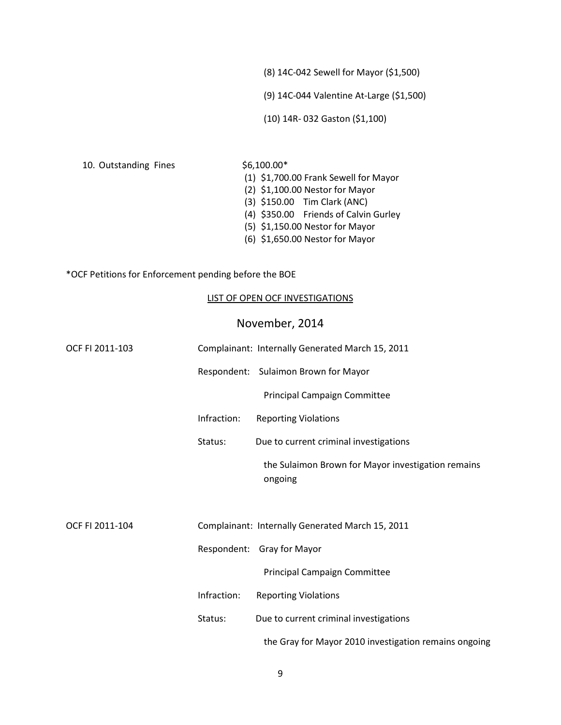(8) 14C-042 Sewell for Mayor (\$1,500)

(9) 14C-044 Valentine At-Large (\$1,500)

(10) 14R- 032 Gaston (\$1,100)

10. Outstanding Fines \$6,100.00\*

(1) \$1,700.00 Frank Sewell for Mayor

- (2) \$1,100.00 Nestor for Mayor
- (3) \$150.00 Tim Clark (ANC)
- (4) \$350.00 Friends of Calvin Gurley
- (5) \$1,150.00 Nestor for Mayor
- (6) \$1,650.00 Nestor for Mayor

\*OCF Petitions for Enforcement pending before the BOE

#### LIST OF OPEN OCF INVESTIGATIONS

## November, 2014

| OCF FI 2011-103 |             | Complainant: Internally Generated March 15, 2011              |
|-----------------|-------------|---------------------------------------------------------------|
|                 |             | Respondent: Sulaimon Brown for Mayor                          |
|                 |             | Principal Campaign Committee                                  |
|                 | Infraction: | <b>Reporting Violations</b>                                   |
|                 | Status:     | Due to current criminal investigations                        |
|                 |             | the Sulaimon Brown for Mayor investigation remains<br>ongoing |
| OCF FI 2011-104 |             | Complainant: Internally Generated March 15, 2011              |
|                 |             | Respondent: Gray for Mayor                                    |
|                 |             | Principal Campaign Committee                                  |
|                 | Infraction: | <b>Reporting Violations</b>                                   |
|                 | Status:     | Due to current criminal investigations                        |
|                 |             | the Gray for Mayor 2010 investigation remains ongoing         |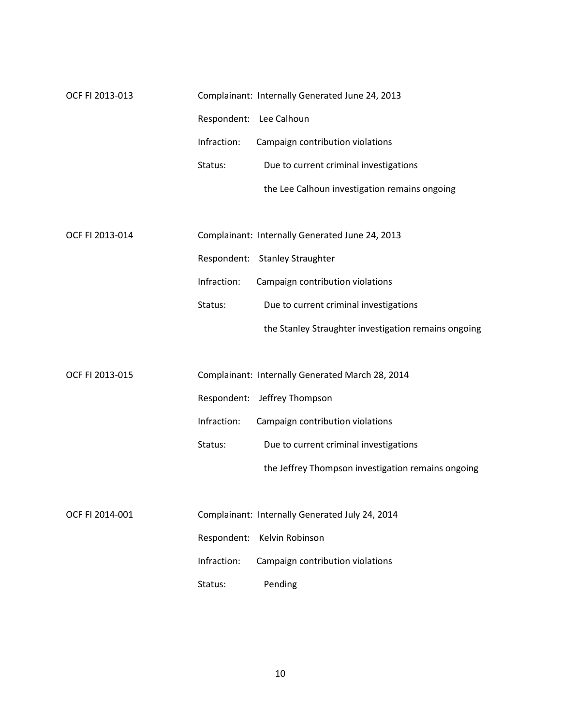| OCF FI 2013-013 |             | Complainant: Internally Generated June 24, 2013 |
|-----------------|-------------|-------------------------------------------------|
|                 |             | Respondent: Lee Calhoun                         |
|                 | Infraction: | Campaign contribution violations                |
|                 | Status:     | Due to current criminal investigations          |
|                 |             | the Lee Calhoun investigation remains ongoing   |

| OCF FI 2013-014 |             | Complainant: Internally Generated June 24, 2013      |
|-----------------|-------------|------------------------------------------------------|
|                 |             | Respondent: Stanley Straughter                       |
|                 | Infraction: | Campaign contribution violations                     |
|                 | Status:     | Due to current criminal investigations               |
|                 |             | the Stanley Straughter investigation remains ongoing |

| OCF FI 2013-015 |             | Complainant: Internally Generated March 28, 2014   |
|-----------------|-------------|----------------------------------------------------|
|                 |             | Respondent: Jeffrey Thompson                       |
|                 | Infraction: | Campaign contribution violations                   |
|                 | Status:     | Due to current criminal investigations             |
|                 |             | the Jeffrey Thompson investigation remains ongoing |

| OCF FI 2014-001 |         | Complainant: Internally Generated July 24, 2014 |  |
|-----------------|---------|-------------------------------------------------|--|
|                 |         | Respondent: Kelvin Robinson                     |  |
|                 |         | Infraction: Campaign contribution violations    |  |
|                 | Status: | Pending                                         |  |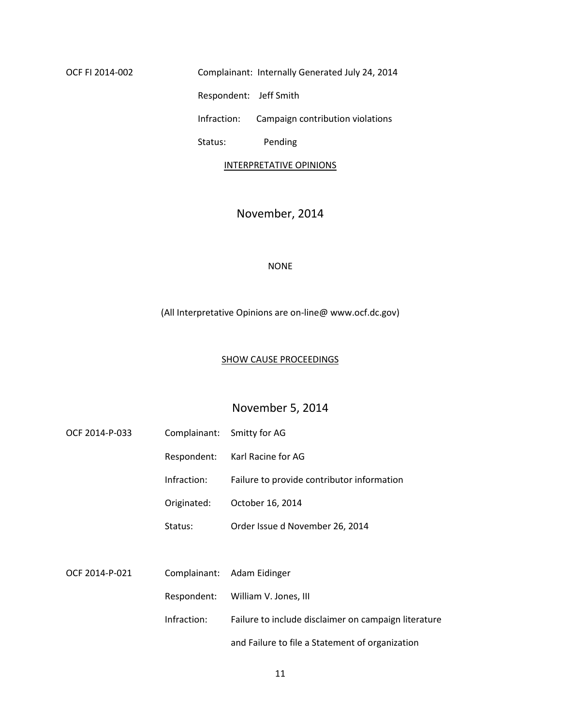OCF FI 2014-002 Complainant: Internally Generated July 24, 2014 Respondent: Jeff Smith Infraction: Campaign contribution violations

Status: Pending

#### INTERPRETATIVE OPINIONS

# November, 2014

#### NONE

(All Interpretative Opinions are on-line@ www.ocf.dc.gov)

## SHOW CAUSE PROCEEDINGS

## November 5, 2014

| OCF 2014-P-033 | Complainant: | Smitty for AG                                        |
|----------------|--------------|------------------------------------------------------|
|                | Respondent:  | Karl Racine for AG                                   |
|                | Infraction:  | Failure to provide contributor information           |
|                | Originated:  | October 16, 2014                                     |
|                | Status:      | Order Issue d November 26, 2014                      |
|                |              |                                                      |
| OCF 2014-P-021 | Complainant: | Adam Eidinger                                        |
|                | Respondent:  | William V. Jones, III                                |
|                | Infraction:  | Failure to include disclaimer on campaign literature |
|                |              | and Failure to file a Statement of organization      |